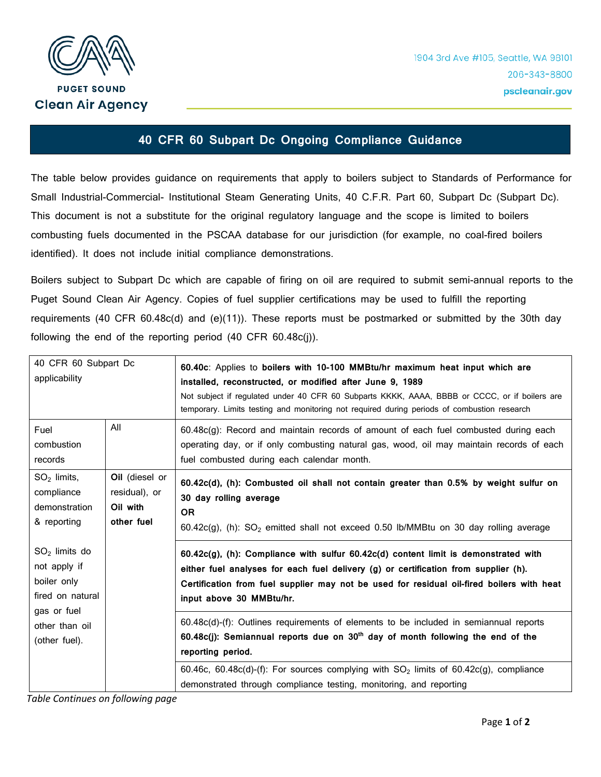

## **40 CFR 60 Subpart Dc Ongoing Compliance Guidance**

The table below provides guidance on requirements that apply to boilers subject to Standards of Performance for Small Industrial-Commercial- Institutional Steam Generating Units, 40 C.F.R. Part 60, Subpart Dc (Subpart Dc). This document is not a substitute for the original regulatory language and the scope is limited to boilers combusting fuels documented in the PSCAA database for our jurisdiction (for example, no coal-fired boilers identified). It does not include initial compliance demonstrations.

Boilers subject to Subpart Dc which are capable of firing on oil are required to submit semi-annual reports to the Puget Sound Clean Air Agency. Copies of fuel supplier certifications may be used to fulfill the reporting requirements (40 CFR 60.48c(d) and (e)(11)). These reports must be postmarked or submitted by the 30th day following the end of the reporting period (40 CFR 60.48c(j)).

| 40 CFR 60 Subpart Dc<br>applicability                                                                                |                                                           | 60.40c: Applies to boilers with 10-100 MMBtu/hr maximum heat input which are<br>installed, reconstructed, or modified after June 9, 1989<br>Not subject if regulated under 40 CFR 60 Subparts KKKK, AAAA, BBBB or CCCC, or if boilers are<br>temporary. Limits testing and monitoring not required during periods of combustion research |
|----------------------------------------------------------------------------------------------------------------------|-----------------------------------------------------------|------------------------------------------------------------------------------------------------------------------------------------------------------------------------------------------------------------------------------------------------------------------------------------------------------------------------------------------|
| Fuel<br>combustion<br>records                                                                                        | All                                                       | 60.48c(g): Record and maintain records of amount of each fuel combusted during each<br>operating day, or if only combusting natural gas, wood, oil may maintain records of each<br>fuel combusted during each calendar month.                                                                                                            |
| $SO2$ limits,<br>compliance<br>demonstration<br>& reporting                                                          | Oil (diesel or<br>residual), or<br>Oil with<br>other fuel | 60.42c(d), (h): Combusted oil shall not contain greater than 0.5% by weight sulfur on<br>30 day rolling average<br><b>OR</b><br>$60.42c(g)$ , (h): SO <sub>2</sub> emitted shall not exceed 0.50 lb/MMBtu on 30 day rolling average                                                                                                      |
| $SO2$ limits do<br>not apply if<br>boiler only<br>fired on natural<br>gas or fuel<br>other than oil<br>(other fuel). |                                                           | $60.42c(g)$ , (h): Compliance with sulfur $60.42c(d)$ content limit is demonstrated with<br>either fuel analyses for each fuel delivery (g) or certification from supplier (h).<br>Certification from fuel supplier may not be used for residual oil-fired boilers with heat<br>input above 30 MMBtu/hr.                                 |
|                                                                                                                      |                                                           | $60.48c(d)$ -(f): Outlines requirements of elements to be included in semiannual reports<br>60.48c(j): Semiannual reports due on 30 <sup>th</sup> day of month following the end of the<br>reporting period.                                                                                                                             |
|                                                                                                                      |                                                           | 60.46c, 60.48c(d)-(f): For sources complying with $SO_2$ limits of 60.42c(g), compliance<br>demonstrated through compliance testing, monitoring, and reporting                                                                                                                                                                           |

*Table Continues on following page*